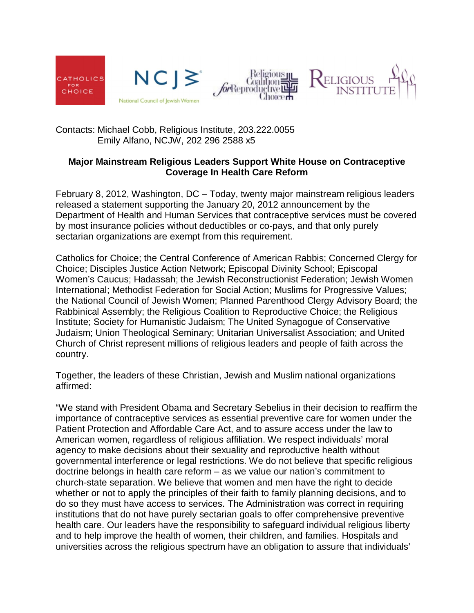







Contacts: Michael Cobb, Religious Institute, 203.222.0055 Emily Alfano, NCJW, 202 296 2588 x5

## **Major Mainstream Religious Leaders Support White House on Contraceptive Coverage In Health Care Reform**

February 8, 2012, Washington, DC – Today, twenty major mainstream religious leaders released a statement supporting the January 20, 2012 announcement by the Department of Health and Human Services that contraceptive services must be covered by most insurance policies without deductibles or co-pays, and that only purely sectarian organizations are exempt from this requirement.

Catholics for Choice; the Central Conference of American Rabbis; Concerned Clergy for Choice; Disciples Justice Action Network; Episcopal Divinity School; Episcopal Women's Caucus; Hadassah; the Jewish Reconstructionist Federation; Jewish Women International; Methodist Federation for Social Action; Muslims for Progressive Values; the National Council of Jewish Women; Planned Parenthood Clergy Advisory Board; the Rabbinical Assembly; the Religious Coalition to Reproductive Choice; the Religious Institute; Society for Humanistic Judaism; The United Synagogue of Conservative Judaism; Union Theological Seminary; Unitarian Universalist Association; and United Church of Christ represent millions of religious leaders and people of faith across the country.

Together, the leaders of these Christian, Jewish and Muslim national organizations affirmed:

"We stand with President Obama and Secretary Sebelius in their decision to reaffirm the importance of contraceptive services as essential preventive care for women under the Patient Protection and Affordable Care Act, and to assure access under the law to American women, regardless of religious affiliation. We respect individuals' moral agency to make decisions about their sexuality and reproductive health without governmental interference or legal restrictions. We do not believe that specific religious doctrine belongs in health care reform – as we value our nation's commitment to church-state separation. We believe that women and men have the right to decide whether or not to apply the principles of their faith to family planning decisions, and to do so they must have access to services. The Administration was correct in requiring institutions that do not have purely sectarian goals to offer comprehensive preventive health care. Our leaders have the responsibility to safeguard individual religious liberty and to help improve the health of women, their children, and families. Hospitals and universities across the religious spectrum have an obligation to assure that individuals'